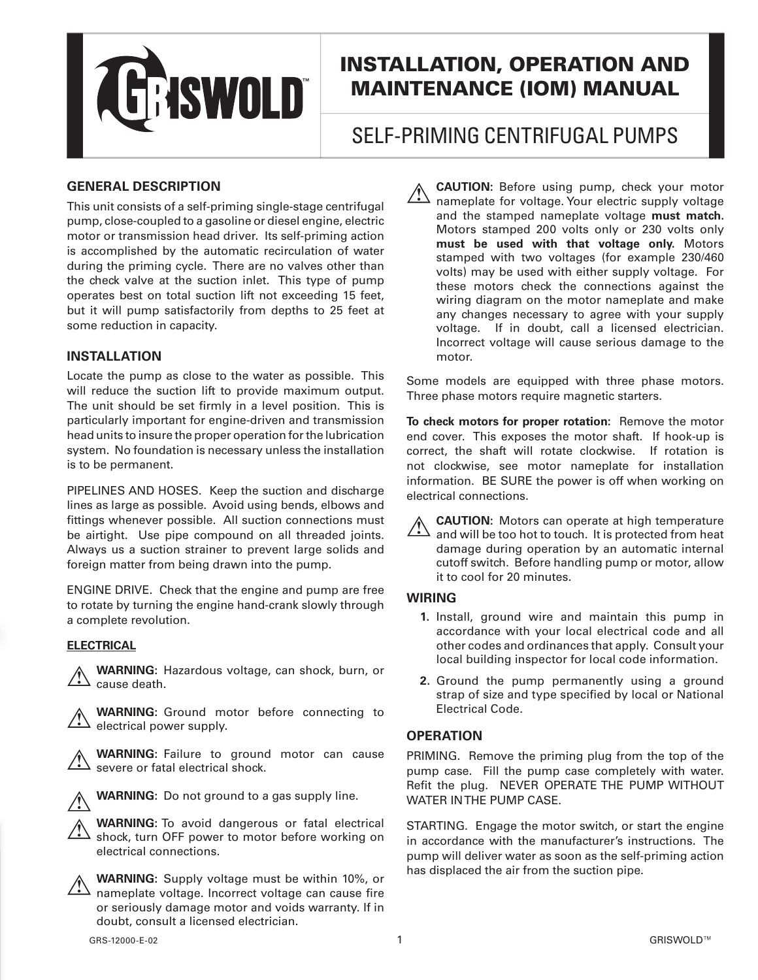

# INSTALLATION, OPERATION AND MAINTENANCE (IOM) MANUAL

# SELF-PRIMING CENTRIFUGAL PUMPS

## **GENERAL DESCRIPTION**

This unit consists of a self-priming single-stage centrifugal pump, close-coupled to a gasoline or diesel engine, electric motor or transmission head driver. Its self-priming action is accomplished by the automatic recirculation of water during the priming cycle. There are no valves other than the check valve at the suction inlet. This type of pump operates best on total suction lift not exceeding 15 feet, but it will pump satisfactorily from depths to 25 feet at some reduction in capacity.

## **INSTALLATION**

Locate the pump as close to the water as possible. This will reduce the suction lift to provide maximum output. The unit should be set firmly in a level position. This is particularly important for engine-driven and transmission head units to insure the proper operation for the lubrication system. No foundation is necessary unless the installation is to be permanent.

PIPELINES AND HOSES. Keep the suction and discharge lines as large as possible. Avoid using bends, elbows and fittings whenever possible. All suction connections must be airtight. Use pipe compound on all threaded joints. Always us a suction strainer to prevent large solids and foreign matter from being drawn into the pump.

ENGINE DRIVE. Check that the engine and pump are free to rotate by turning the engine hand-crank slowly through a complete revolution.

#### **ELECTRICAL**



**WARNING:** Hazardous voltage, can shock, burn, or cause death.





 **WARNING:** Failure to ground motor can cause severe or fatal electrical shock.



 **WARNING:** Do not ground to a gas supply line.

 **WARNING:** To avoid dangerous or fatal electrical shock, turn OFF power to motor before working on electrical connections.



 **WARNING:** Supply voltage must be within 10%, or  $\sqrt{\frac{1}{n}}$  nameplate voltage. Incorrect voltage can cause fire or seriously damage motor and voids warranty. If in doubt, consult a licensed electrician.

 **CAUTION:** Before using pump, check your motor nameplate for voltage. Your electric supply voltage and the stamped nameplate voltage **must match.**  Motors stamped 200 volts only or 230 volts only **must be used with that voltage only.** Motors stamped with two voltages (for example 230/460 volts) may be used with either supply voltage. For these motors check the connections against the wiring diagram on the motor nameplate and make any changes necessary to agree with your supply voltage. If in doubt, call a licensed electrician. Incorrect voltage will cause serious damage to the motor.

Some models are equipped with three phase motors. Three phase motors require magnetic starters.

**To check motors for proper rotation:** Remove the motor end cover. This exposes the motor shaft. If hook-up is correct, the shaft will rotate clockwise. If rotation is not clockwise, see motor nameplate for installation information. BE SURE the power is off when working on electrical connections.

 **CAUTION:** Motors can operate at high temperature and will be too hot to touch. It is protected from heat damage during operation by an automatic internal cutoff switch. Before handling pump or motor, allow it to cool for 20 minutes.

## **WIRING**

- **1.** Install, ground wire and maintain this pump in accordance with your local electrical code and all other codes and ordinances that apply. Consult your local building inspector for local code information.
- **2.** Ground the pump permanently using a ground strap of size and type specified by local or National Electrical Code.

## **OPERATION**

PRIMING. Remove the priming plug from the top of the pump case. Fill the pump case completely with water. Refit the plug. NEVER OPERATE THE PUMP WITHOUT WATER IN THE PUMP CASE.

STARTING. Engage the motor switch, or start the engine in accordance with the manufacturer's instructions. The pump will deliver water as soon as the self-priming action has displaced the air from the suction pipe.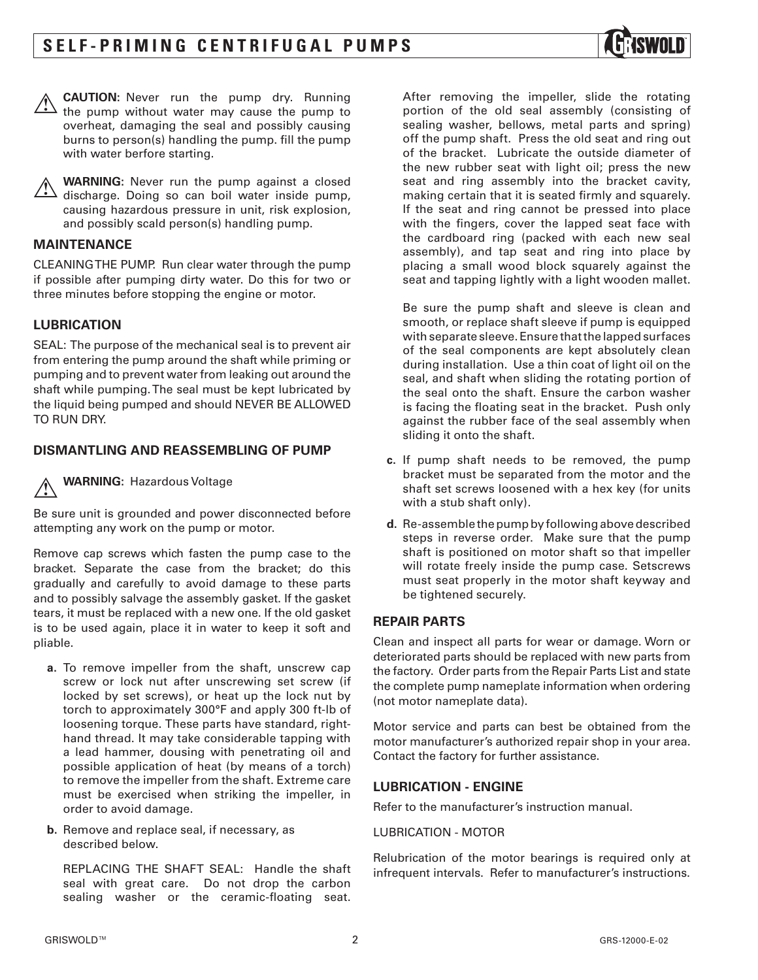



 **WARNING:** Never run the pump against a closed discharge. Doing so can boil water inside pump, causing hazardous pressure in unit, risk explosion, and possibly scald person(s) handling pump.

#### **MAINTENANCE**

CLEANING THE PUMP. Run clear water through the pump if possible after pumping dirty water. Do this for two or three minutes before stopping the engine or motor.

#### **LUBRICATION**

SEAL: The purpose of the mechanical seal is to prevent air from entering the pump around the shaft while priming or pumping and to prevent water from leaking out around the shaft while pumping. The seal must be kept lubricated by the liquid being pumped and should NEVER BE ALLOWED TO RUN DRY.

#### **DISMANTLING AND REASSEMBLING OF PUMP**

 **WARNING:** Hazardous Voltage

Be sure unit is grounded and power disconnected before attempting any work on the pump or motor.

Remove cap screws which fasten the pump case to the bracket. Separate the case from the bracket; do this gradually and carefully to avoid damage to these parts and to possibly salvage the assembly gasket. If the gasket tears, it must be replaced with a new one. If the old gasket is to be used again, place it in water to keep it soft and pliable.

- **a.** To remove impeller from the shaft, unscrew cap screw or lock nut after unscrewing set screw (if locked by set screws), or heat up the lock nut by torch to approximately 300°F and apply 300 ft-lb of loosening torque. These parts have standard, righthand thread. It may take considerable tapping with a lead hammer, dousing with penetrating oil and possible application of heat (by means of a torch) to remove the impeller from the shaft. Extreme care must be exercised when striking the impeller, in order to avoid damage.
- **b.** Remove and replace seal, if necessary, as described below.

REPLACING THE SHAFT SEAL: Handle the shaft seal with great care. Do not drop the carbon sealing washer or the ceramic-floating seat.

After removing the impeller, slide the rotating portion of the old seal assembly (consisting of sealing washer, bellows, metal parts and spring) off the pump shaft. Press the old seat and ring out of the bracket. Lubricate the outside diameter of the new rubber seat with light oil; press the new seat and ring assembly into the bracket cavity, making certain that it is seated firmly and squarely. If the seat and ring cannot be pressed into place with the fingers, cover the lapped seat face with the cardboard ring (packed with each new seal assembly), and tap seat and ring into place by placing a small wood block squarely against the seat and tapping lightly with a light wooden mallet.

Be sure the pump shaft and sleeve is clean and smooth, or replace shaft sleeve if pump is equipped with separate sleeve. Ensure that the lapped surfaces of the seal components are kept absolutely clean during installation. Use a thin coat of light oil on the seal, and shaft when sliding the rotating portion of the seal onto the shaft. Ensure the carbon washer is facing the floating seat in the bracket. Push only against the rubber face of the seal assembly when sliding it onto the shaft.

- **c.** If pump shaft needs to be removed, the pump bracket must be separated from the motor and the shaft set screws loosened with a hex key (for units with a stub shaft only).
- **d.** Re-assemble the pump by following above described steps in reverse order. Make sure that the pump shaft is positioned on motor shaft so that impeller will rotate freely inside the pump case. Setscrews must seat properly in the motor shaft keyway and be tightened securely.

## **REPAIR PARTS**

Clean and inspect all parts for wear or damage. Worn or deteriorated parts should be replaced with new parts from the factory. Order parts from the Repair Parts List and state the complete pump nameplate information when ordering (not motor nameplate data).

Motor service and parts can best be obtained from the motor manufacturer's authorized repair shop in your area. Contact the factory for further assistance.

#### **LUBRICATION - ENGINE**

Refer to the manufacturer's instruction manual.

#### LUBRICATION - MOTOR

Relubrication of the motor bearings is required only at infrequent intervals. Refer to manufacturer's instructions.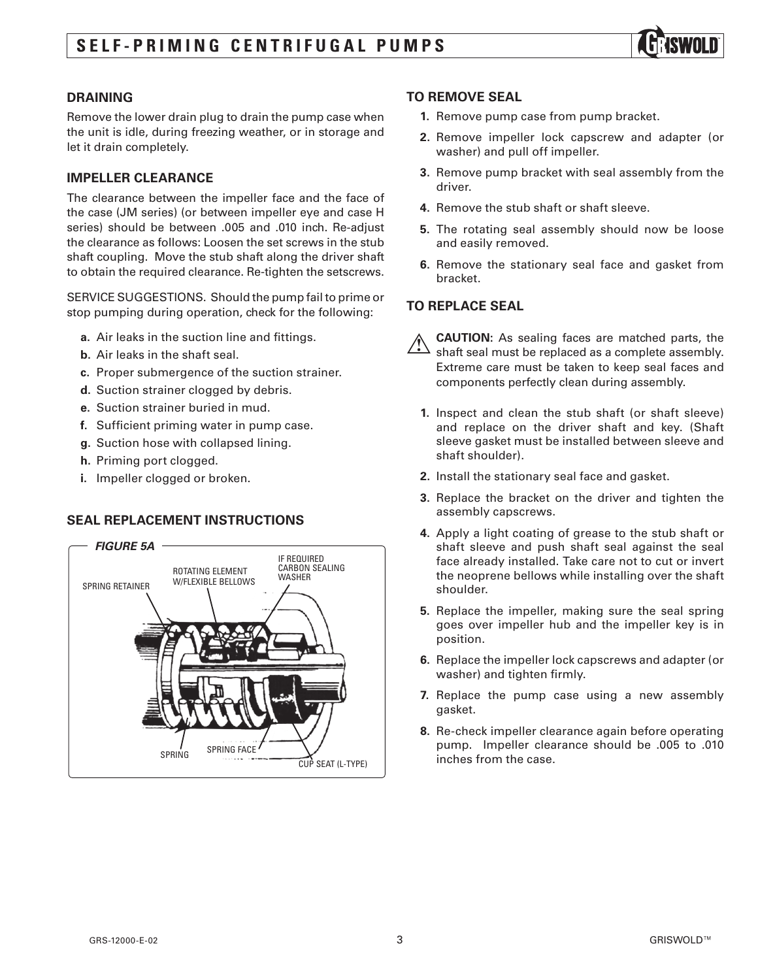

## **DRAINING**

Remove the lower drain plug to drain the pump case when the unit is idle, during freezing weather, or in storage and let it drain completely.

#### **IMPELLER CLEARANCE**

The clearance between the impeller face and the face of the case (JM series) (or between impeller eye and case H series) should be between .005 and .010 inch. Re-adjust the clearance as follows: Loosen the set screws in the stub shaft coupling. Move the stub shaft along the driver shaft to obtain the required clearance. Re-tighten the setscrews.

SERVICE SUGGESTIONS. Should the pump fail to prime or stop pumping during operation, check for the following:

- **a.** Air leaks in the suction line and fittings.
- **b.** Air leaks in the shaft seal.
- **c.** Proper submergence of the suction strainer.
- **d.** Suction strainer clogged by debris.
- **e.** Suction strainer buried in mud.
- **f.** Sufficient priming water in pump case.
- **g.** Suction hose with collapsed lining.
- **h.** Priming port clogged.
- **i.** Impeller clogged or broken.

## **SEAL REPLACEMENT INSTRUCTIONS**



#### **TO REMOVE SEAL**

- **1.** Remove pump case from pump bracket.
- **2.** Remove impeller lock capscrew and adapter (or washer) and pull off impeller.
- **3.** Remove pump bracket with seal assembly from the driver.
- **4.** Remove the stub shaft or shaft sleeve.
- **5.** The rotating seal assembly should now be loose and easily removed.
- **6.** Remove the stationary seal face and gasket from bracket.

# **TO REPLACE SEAL**

 **CAUTION:** As sealing faces are matched parts, the shaft seal must be replaced as a complete assembly. Extreme care must be taken to keep seal faces and components perfectly clean during assembly.

- **1.** Inspect and clean the stub shaft (or shaft sleeve) and replace on the driver shaft and key. (Shaft sleeve gasket must be installed between sleeve and shaft shoulder).
- **2.** Install the stationary seal face and gasket.
- **3.** Replace the bracket on the driver and tighten the assembly capscrews.
- **4.** Apply a light coating of grease to the stub shaft or shaft sleeve and push shaft seal against the seal face already installed. Take care not to cut or invert the neoprene bellows while installing over the shaft shoulder.
- **5.** Replace the impeller, making sure the seal spring goes over impeller hub and the impeller key is in position.
- **6.** Replace the impeller lock capscrews and adapter (or washer) and tighten firmly.
- **7.** Replace the pump case using a new assembly gasket.
- **8.** Re-check impeller clearance again before operating pump. Impeller clearance should be .005 to .010